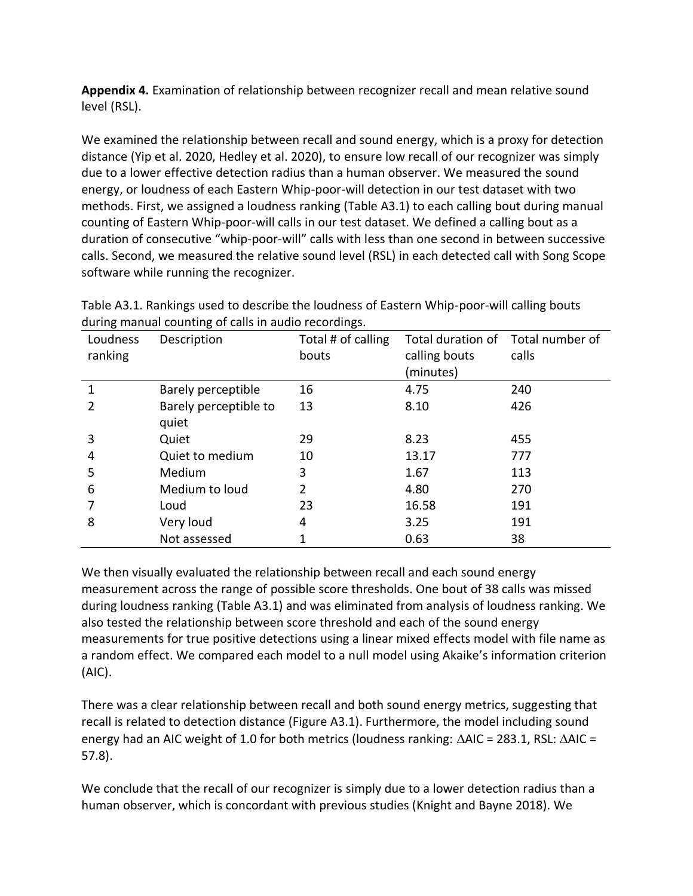**Appendix 4.** Examination of relationship between recognizer recall and mean relative sound level (RSL).

We examined the relationship between recall and sound energy, which is a proxy for detection distance (Yip et al. 2020, Hedley et al. 2020), to ensure low recall of our recognizer was simply due to a lower effective detection radius than a human observer. We measured the sound energy, or loudness of each Eastern Whip-poor-will detection in our test dataset with two methods. First, we assigned a loudness ranking (Table A3.1) to each calling bout during manual counting of Eastern Whip-poor-will calls in our test dataset. We defined a calling bout as a duration of consecutive "whip-poor-will" calls with less than one second in between successive calls. Second, we measured the relative sound level (RSL) in each detected call with Song Scope software while running the recognizer.

| Loudness | Description           | Total # of calling | Total duration of | Total number of |
|----------|-----------------------|--------------------|-------------------|-----------------|
| ranking  |                       | bouts              | calling bouts     | calls           |
|          |                       |                    | (minutes)         |                 |
|          | Barely perceptible    | 16                 | 4.75              | 240             |
| 2        | Barely perceptible to | 13                 | 8.10              | 426             |
|          | quiet                 |                    |                   |                 |
| 3        | Quiet                 | 29                 | 8.23              | 455             |
| 4        | Quiet to medium       | 10                 | 13.17             | 777             |
| 5        | Medium                | 3                  | 1.67              | 113             |
| 6        | Medium to loud        | 2                  | 4.80              | 270             |
|          | Loud                  | 23                 | 16.58             | 191             |
| 8        | Very loud             | 4                  | 3.25              | 191             |
|          | Not assessed          |                    | 0.63              | 38              |

Table A3.1. Rankings used to describe the loudness of Eastern Whip-poor-will calling bouts during manual counting of calls in audio recordings.

We then visually evaluated the relationship between recall and each sound energy measurement across the range of possible score thresholds. One bout of 38 calls was missed during loudness ranking (Table A3.1) and was eliminated from analysis of loudness ranking. We also tested the relationship between score threshold and each of the sound energy measurements for true positive detections using a linear mixed effects model with file name as a random effect. We compared each model to a null model using Akaike's information criterion (AIC).

There was a clear relationship between recall and both sound energy metrics, suggesting that recall is related to detection distance (Figure A3.1). Furthermore, the model including sound energy had an AIC weight of 1.0 for both metrics (loudness ranking:  $\Delta AIC = 283.1$ , RSL:  $\Delta AIC =$ 57.8).

We conclude that the recall of our recognizer is simply due to a lower detection radius than a human observer, which is concordant with previous studies (Knight and Bayne 2018). We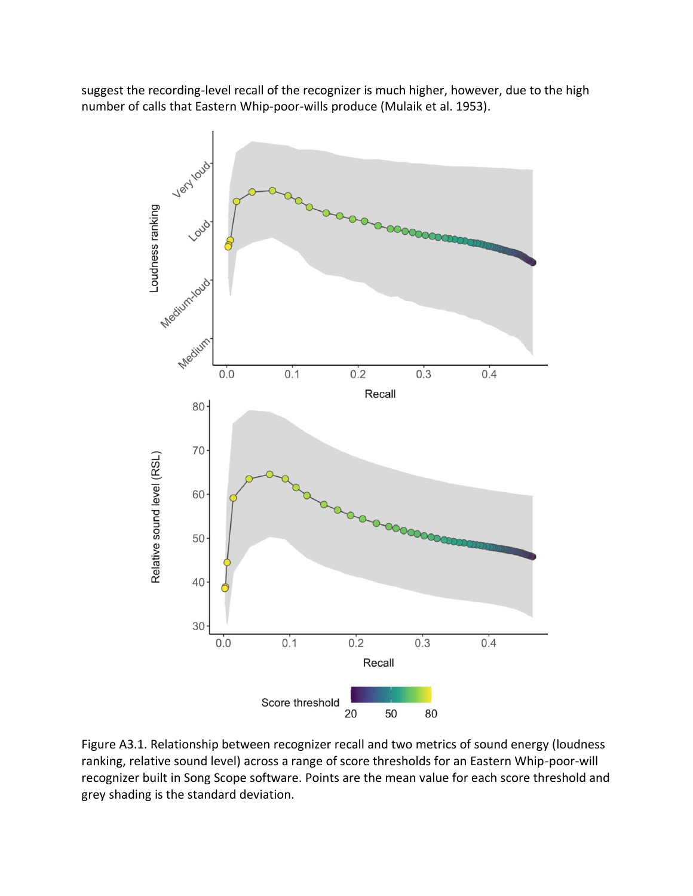suggest the recording-level recall of the recognizer is much higher, however, due to the high number of calls that Eastern Whip-poor-wills produce (Mulaik et al. 1953).



Figure A3.1. Relationship between recognizer recall and two metrics of sound energy (loudness ranking, relative sound level) across a range of score thresholds for an Eastern Whip-poor-will recognizer built in Song Scope software. Points are the mean value for each score threshold and grey shading is the standard deviation.